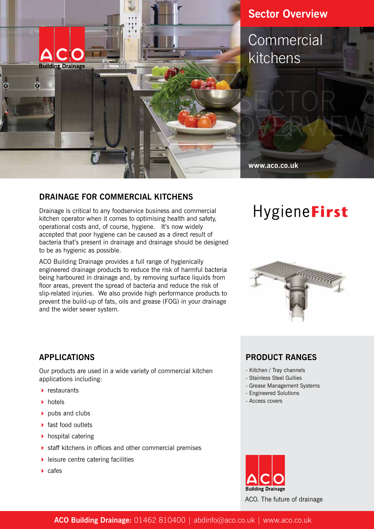

## **DRAINAGE FOR COMMERCIAL KITCHENS**

Drainage is critical to any foodservice business and commercial kitchen operator when it comes to optimising health and safety, operational costs and, of course, hygiene. It's now widely accepted that poor hygiene can be caused as a direct result of bacteria that's present in drainage and drainage should be designed to be as hygienic as possible.

ACO Building Drainage provides a full range of hygienically engineered drainage products to reduce the risk of harmful bacteria being harboured in drainage and, by removing surface liquids from floor areas, prevent the spread of bacteria and reduce the risk of slip-related injuries. We also provide high performance products to prevent the build-up of fats, oils and grease (FOG) in your drainage and the wider sewer system.

## **APPLICATIONS**

Our products are used in a wide variety of commercial kitchen applications including:

- $\blacktriangleright$  restaurants
- $\blacktriangleright$  hotels
- $\rightarrow$  pubs and clubs
- $\blacktriangleright$  fast food outlets
- $\blacktriangleright$  hospital catering
- $\triangleright$  staff kitchens in offices and other commercial premises
- $\blacktriangleright$  leisure centre catering facilities
- $\blacktriangleright$  cafes

# HygieneFirst



## **PRODUCT RANGES**

- Kitchen / Tray channels
- Stainless Steel Gullies
- Grease Management Systems
- Engineered Solutions
- Access covers



ACO. The future of drainage